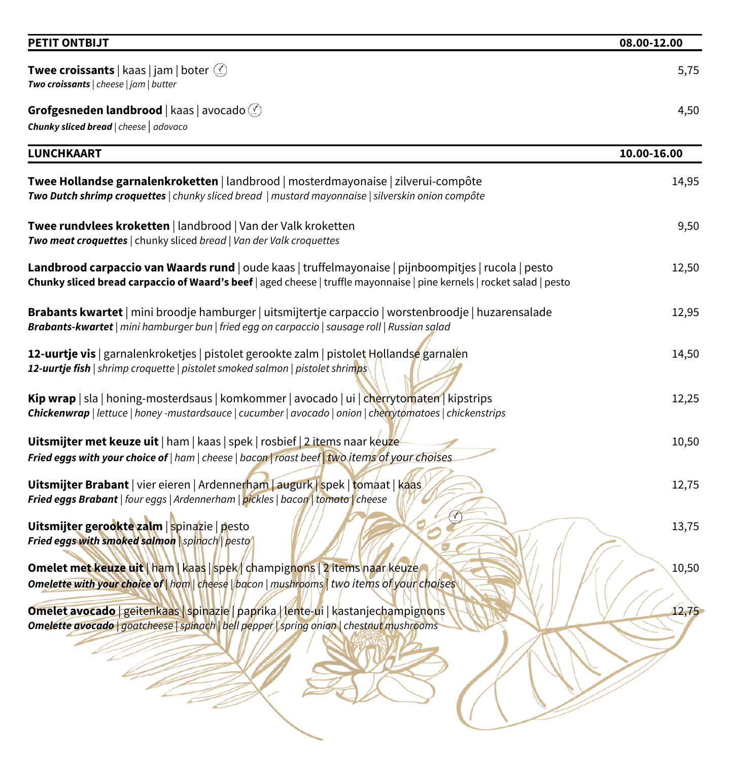| <b>PETIT ONTBIJT</b> | 08.00-12.00 |
|----------------------|-------------|
|----------------------|-------------|

| <b>Twee croissants</b>   kaas   jam   boter $\mathcal{L}$<br>Two croissants   cheese   jam   butter                                                                                                                            | 5,75        |
|--------------------------------------------------------------------------------------------------------------------------------------------------------------------------------------------------------------------------------|-------------|
| Grofgesneden landbrood   kaas   avocado (<br>Chunky sliced bread   cheese   adovaco                                                                                                                                            | 4,50        |
| <b>LUNCHKAART</b>                                                                                                                                                                                                              | 10.00-16.00 |
| Twee Hollandse garnalenkroketten   landbrood   mosterdmayonaise   zilverui-compôte<br>Two Dutch shrimp croquettes   chunky sliced bread   mustard mayonnaise   silverskin onion compôte                                        | 14,95       |
| Twee rundvlees kroketten   landbrood   Van der Valk kroketten<br>Two meat croquettes   chunky sliced bread   Van der Valk croquettes                                                                                           | 9,50        |
| Landbrood carpaccio van Waards rund   oude kaas   truffelmayonaise   pijnboompitjes   rucola   pesto<br>Chunky sliced bread carpaccio of Waard's beef   aged cheese   truffle mayonnaise   pine kernels   rocket salad   pesto | 12,50       |
| Brabants kwartet   mini broodje hamburger   uitsmijtertje carpaccio   worstenbroodje   huzarensalade<br>Brabants-kwartet   mini hamburger bun   fried egg on carpaccio   sausage roll   Russian salad                          | 12,95       |
| 12-uurtje vis   garnalenkroketjes   pistolet gerookte zalm   pistolet Hollandse garnalen<br>12-uurtje fish   shrimp croquette   pistolet smoked salmon   pistolet shrimps                                                      | 14,50       |
| Kip wrap   sla   honing-mosterdsaus   komkommer   avocado   ui   cherrytomaten   kipstrips<br>Chickenwrap   lettuce   honey -mustardsauce   cucumber   avocado   onion   cherrytomatoes   chickenstrips                        | 12,25       |
| Uitsmijter met keuze uit   ham   kaas   spek   rosbief   2 items naar keuze<br>Fried eggs with your choice of   ham   cheese   bacon   roast beef   two items of your choises                                                  | 10,50       |
| Uitsmijter Brabant   vier eieren   Ardennerham   augurk   spek   tomaat   kaas<br>Fried eggs Brabant   four eggs   Ardennerham   pickles   bacon   tomato   cheese                                                             | 12,75       |
| Uitsmijter gerookte zalm   spinazie   pesto<br>Fried eggs with smoked salmon \spinach\pesto                                                                                                                                    | 13,75       |
| Omelet met keuze uit   ham   kaas   spek   champignons   2 items naar keuze<br>Omelette with your choice of \ham \ cheese \ bacon \ mushrooms \ two items of your choises                                                      | 10,50       |
| <b>Omelet avocado</b> geitenkaas spinazie   paprika / lente-ui   kastanjechampignons<br><b>Omelette avocado</b>   goatcheese   spinach   bell pepper   spring onion   chestnut mushrooms                                       | 12,75       |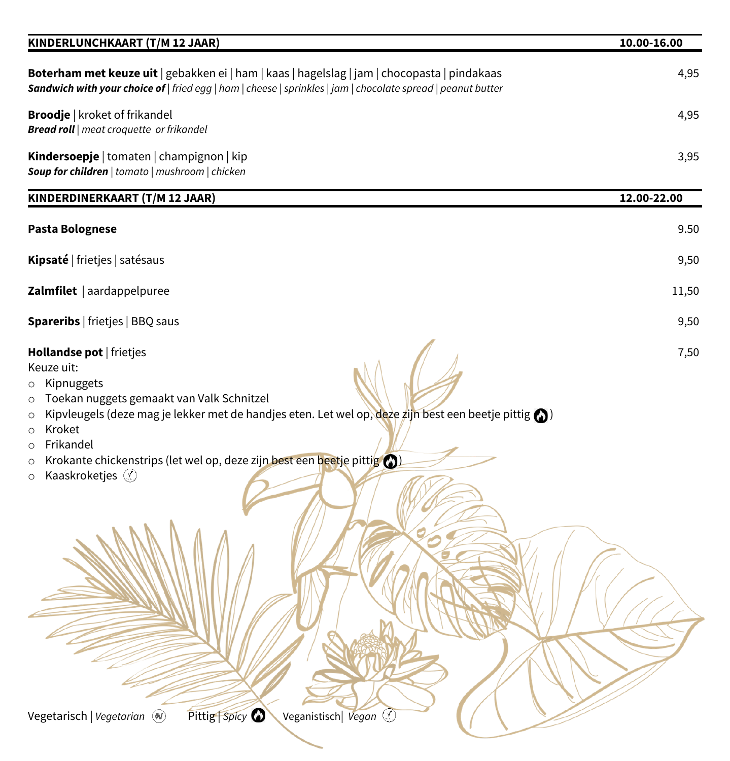| KINDERLUNCHKAART (T/M 12 JAAR)                                                                                                                                                                                                                                                                                                                                                                                                  | 10.00-16.00 |
|---------------------------------------------------------------------------------------------------------------------------------------------------------------------------------------------------------------------------------------------------------------------------------------------------------------------------------------------------------------------------------------------------------------------------------|-------------|
| Boterham met keuze uit   gebakken ei   ham   kaas   hagelslag   jam   chocopasta   pindakaas<br>Sandwich with your choice of   fried egg   ham   cheese   sprinkles   jam   chocolate spread   peanut butter                                                                                                                                                                                                                    | 4,95        |
| <b>Broodje</b>   kroket of frikandel<br><b>Bread roll</b>   meat croquette or frikandel                                                                                                                                                                                                                                                                                                                                         | 4,95        |
| Kindersoepje   tomaten   champignon   kip<br>Soup for children   tomato   mushroom   chicken                                                                                                                                                                                                                                                                                                                                    | 3,95        |
| KINDERDINERKAART (T/M 12 JAAR)                                                                                                                                                                                                                                                                                                                                                                                                  | 12.00-22.00 |
| Pasta Bolognese                                                                                                                                                                                                                                                                                                                                                                                                                 | 9.50        |
| Kipsaté   frietjes   satésaus                                                                                                                                                                                                                                                                                                                                                                                                   | 9,50        |
| Zalmfilet   aardappelpuree                                                                                                                                                                                                                                                                                                                                                                                                      | 11,50       |
| <b>Spareribs</b>   frietjes   BBQ saus                                                                                                                                                                                                                                                                                                                                                                                          | 9,50        |
| Hollandse pot   frietjes<br>Keuze uit:<br>Kipnuggets<br>$\circ$<br>Toekan nuggets gemaakt van Valk Schnitzel<br>$\circ$<br>Kipvleugels (deze mag je lekker met de handjes eten. Let wel op, deze zijn best een beetje pittig $\bigcirc$ )<br>$\circ$<br>Kroket<br>$\circ$<br>Frikandel<br>$\circ$<br>Krokante chickenstrips (let wel op, deze zijn best een beetje pittig ()<br>$\circ$<br>Kaaskroketjes $\circledS$<br>$\circ$ | 7,50        |
| Pittig Spicy<br>Vegetarisch   Vegetarian (4)<br>Veganistisch Vegan                                                                                                                                                                                                                                                                                                                                                              |             |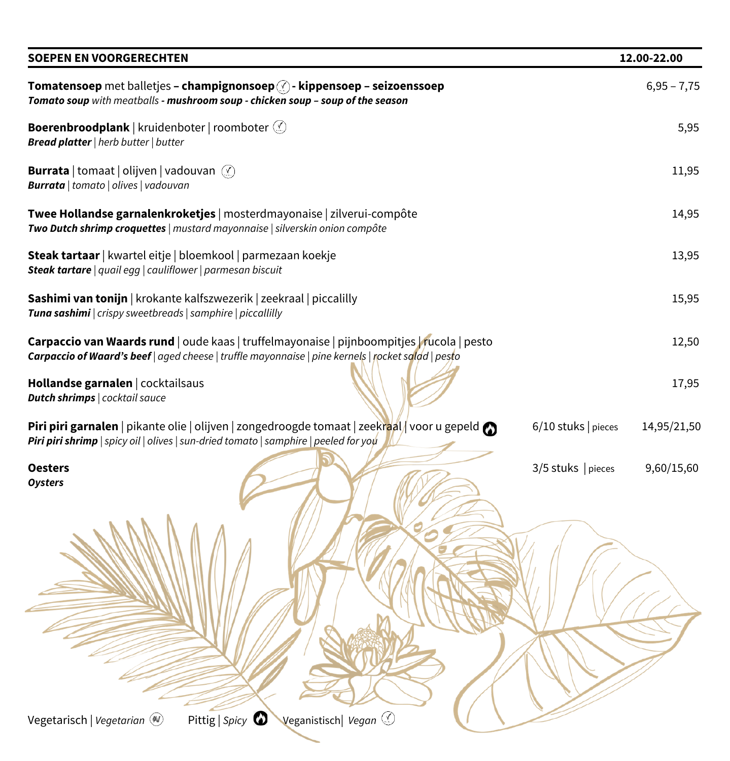| <b>SOEPEN EN VOORGERECHTEN</b>                                                                                                                                                                                                       | 12.00-22.00   |
|--------------------------------------------------------------------------------------------------------------------------------------------------------------------------------------------------------------------------------------|---------------|
| Tomatensoep met balletjes - champignonsoep $\textcircled{?}$ - kippensoep - seizoenssoep<br>Tomato soup with meatballs - mushroom soup - chicken soup - soup of the season                                                           | $6,95 - 7,75$ |
| <b>Boerenbroodplank</b>   kruidenboter   roomboter (<br><b>Bread platter</b>   herb butter   butter                                                                                                                                  | 5,95          |
| <b>Burrata</b>   tomaat   olijven   vadouvan (X)<br><b>Burrata</b>   tomato   olives   vadouvan                                                                                                                                      | 11,95         |
| Twee Hollandse garnalenkroketjes   mosterdmayonaise   zilverui-compôte<br>Two Dutch shrimp croquettes   mustard mayonnaise   silverskin onion compôte                                                                                | 14,95         |
| Steak tartaar   kwartel eitje   bloemkool   parmezaan koekje<br>Steak tartare   quail egg   cauliflower   parmesan biscuit                                                                                                           | 13,95         |
| Sashimi van tonijn   krokante kalfszwezerik   zeekraal   piccalilly<br>Tuna sashimi   crispy sweetbreads   samphire   piccallilly                                                                                                    | 15,95         |
| Carpaccio van Waards rund   oude kaas   truffelmayonaise   pijnboompitjes   rucola   pesto<br>Carpaccio of Waard's beef   aged cheese   truffle mayonnaise   pine kernels   rocket salad   pesto                                     | 12,50         |
| Hollandse garnalen   cocktailsaus<br><b>Dutch shrimps</b>   cocktail sauce                                                                                                                                                           | 17,95         |
| <b>Piri piri garnalen</b>   pikante olie   olijven   zongedroogde tomaat   zeekraal   voor u gepeld $\bigcirc$<br>6/10 stuks   pieces<br><b>Piri piri shrimp</b>   spicy oil   olives   sun-dried tomato   samphire   peeled for you | 14,95/21,50   |
| $3/5$ stuks   pieces<br><b>Oesters</b><br><b>Oysters</b>                                                                                                                                                                             | 9,60/15,60    |
|                                                                                                                                                                                                                                      |               |
| Pittig   Spicy $\bullet$<br>Veganistisch Vegan<br>Vegetarisch   Vegetarian (4)                                                                                                                                                       |               |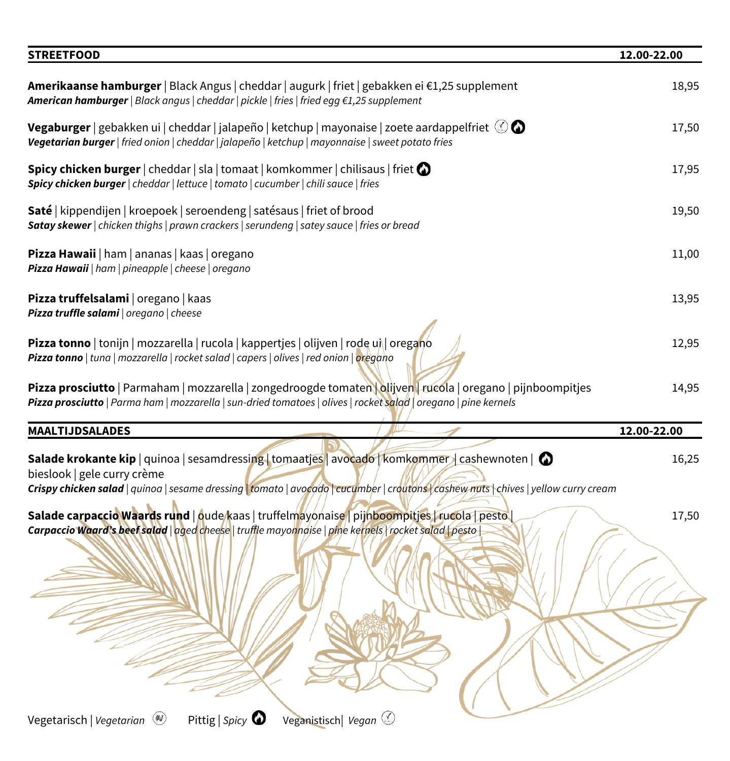| Amerikaanse hamburger   Black Angus   cheddar   augurk   friet   gebakken ei €1,25 supplement<br><b>American hamburger</b>   Black angus   cheddar   pickle   fries   fried egg $\epsilon$ 1,25 supplement<br><b>Vegaburger</b>   gebakken ui   cheddar   jalapeño   ketchup   mayonaise   zoete aardappelfriet $\oslash \bullet$<br>Vegetarian burger   fried onion   cheddar   jalapeño   ketchup   mayonnaise   sweet potato fries<br><b>Spicy chicken burger</b> $ $ cheddar $ $ sla $ $ tomaat $ $ komkommer $ $ chilisaus $ $ friet $\bigcirc$<br>Spicy chicken burger   cheddar   lettuce   tomato   cucumber   chili sauce   fries<br>Saté   kippendijen   kroepoek   seroendeng   satésaus   friet of brood<br>Satay skewer   chicken thighs   prawn crackers   serundeng   satey sauce   fries or bread | 18,95<br>17,50<br>17,95<br>19,50 |
|-------------------------------------------------------------------------------------------------------------------------------------------------------------------------------------------------------------------------------------------------------------------------------------------------------------------------------------------------------------------------------------------------------------------------------------------------------------------------------------------------------------------------------------------------------------------------------------------------------------------------------------------------------------------------------------------------------------------------------------------------------------------------------------------------------------------|----------------------------------|
|                                                                                                                                                                                                                                                                                                                                                                                                                                                                                                                                                                                                                                                                                                                                                                                                                   |                                  |
|                                                                                                                                                                                                                                                                                                                                                                                                                                                                                                                                                                                                                                                                                                                                                                                                                   |                                  |
|                                                                                                                                                                                                                                                                                                                                                                                                                                                                                                                                                                                                                                                                                                                                                                                                                   |                                  |
|                                                                                                                                                                                                                                                                                                                                                                                                                                                                                                                                                                                                                                                                                                                                                                                                                   |                                  |
| Pizza Hawaii   ham   ananas   kaas   oregano<br>Pizza Hawaii   ham   pineapple   cheese   oregano                                                                                                                                                                                                                                                                                                                                                                                                                                                                                                                                                                                                                                                                                                                 | 11,00                            |
| Pizza truffelsalami   oregano   kaas<br>Pizza truffle salami   oregano   cheese                                                                                                                                                                                                                                                                                                                                                                                                                                                                                                                                                                                                                                                                                                                                   | 13,95                            |
| Pizza tonno   tonijn   mozzarella   rucola   kappertjes   olijven   rode uj   oregano<br>Pizza tonno   tuna   mozzarella   rocket salad   capers   olives   red onion   oregano                                                                                                                                                                                                                                                                                                                                                                                                                                                                                                                                                                                                                                   | 12,95                            |
| Pizza prosciutto   Parmaham   mozzarella   zongedroogde tomaten   olijven   rucola   oregano   pijnboompitjes<br>Pizza prosciutto   Parma ham   mozzarella   sun-dried tomatoes   olives   rocket salad   oregano   pine kernels                                                                                                                                                                                                                                                                                                                                                                                                                                                                                                                                                                                  | 14,95                            |
| <b>MAALTIJDSALADES</b>                                                                                                                                                                                                                                                                                                                                                                                                                                                                                                                                                                                                                                                                                                                                                                                            | 12.00-22.00                      |
| <b>Salade krokante kip</b>   quinoa   sesamdressing   tomaatjes   avocado   komkommer   cashewnoten   $\bullet$<br>bieslook   gele curry crème<br>Crispy chicken salad   quinoa   sesame dressing   tomato   avocado   cucumber   croutons   cashew nuts   chives   yellow curry cream                                                                                                                                                                                                                                                                                                                                                                                                                                                                                                                            | 16,25                            |
| Salade carpaccio Waards rund   oude kaas   truffelmayonaise   pijnboompitjes   rucola   pesto<br>Carpaccio Waard's beef salad   aged cheese   truffle mayonnaise   pine kernels   rocket salad   pesto                                                                                                                                                                                                                                                                                                                                                                                                                                                                                                                                                                                                            | 17,50                            |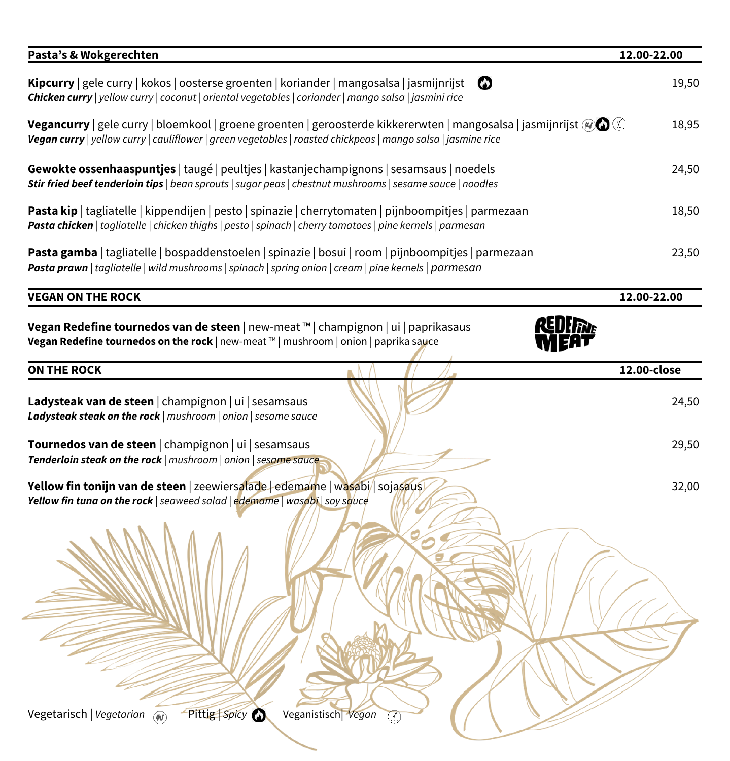| Pasta's & Wokgerechten                                                                                                                                                                                                                               | 12.00-22.00 |
|------------------------------------------------------------------------------------------------------------------------------------------------------------------------------------------------------------------------------------------------------|-------------|
| Kipcurry   gele curry   kokos   oosterse groenten   koriander   mangosalsa   jasmijnrijst<br>∞<br>Chicken curry   yellow curry   coconut   oriental vegetables   coriander   mango salsa   jasmini rice                                              | 19,50       |
| <b>Vegancurry</b>   gele curry   bloemkool   groene groenten   geroosterde kikkererwten   mangosalsa   jasmijnrijst @ $\circledcirc$<br>Vegan curry   yellow curry   cauliflower   green vegetables   roasted chickpeas   mango salsa   jasmine rice | 18,95       |
| Gewokte ossenhaaspuntjes   taugé   peultjes   kastanjechampignons   sesamsaus   noedels<br>Stir fried beef tenderloin tips   bean sprouts   sugar peas   chestnut mushrooms   sesame sauce   noodles                                                 | 24,50       |
| Pasta kip   tagliatelle   kippendijen   pesto   spinazie   cherrytomaten   pijnboompitjes   parmezaan<br>Pasta chicken   tagliatelle   chicken thighs   pesto   spinach   cherry tomatoes   pine kernels   parmesan                                  | 18,50       |
| Pasta gamba   tagliatelle   bospaddenstoelen   spinazie   bosui   room   pijnboompitjes   parmezaan<br>Pasta prawn   tagliatelle   wild mushrooms   spinach   spring onion   cream   pine kernels   parmesan                                         | 23,50       |
| <b>VEGAN ON THE ROCK</b>                                                                                                                                                                                                                             | 12.00-22.00 |
| Vegan Redefine tournedos van de steen   new-meat ™   champignon   ui   paprikasaus<br>Vegan Redefine tournedos on the rock   new-meat ™   mushroom   onion   paprika sauce<br><b>ON THE ROCK</b>                                                     | 12.00-close |
| Ladysteak van de steen   champignon   ui   sesamsaus                                                                                                                                                                                                 | 24,50       |
| Ladysteak steak on the rock   mushroom   onion   sesame sauce<br>Tournedos van de steen   champignon   ui   sesamsaus                                                                                                                                | 29,50       |
| Tenderloin steak on the rock   mushroom   onion   sesame sauce<br>Yellow fin tonijn van de steen   zeewiersalade   edemame   wasabi/  sojasaus<br>Yellow fin tuna on the rock   seaweed salad   edemame   wasabi   soy squce                         | 32,00       |
|                                                                                                                                                                                                                                                      |             |
| Pittig Spicy O<br>Vegetarisch   Vegetarian<br>Veganistisch Vegan<br>$\circledcirc$<br>$\circledcirc$                                                                                                                                                 |             |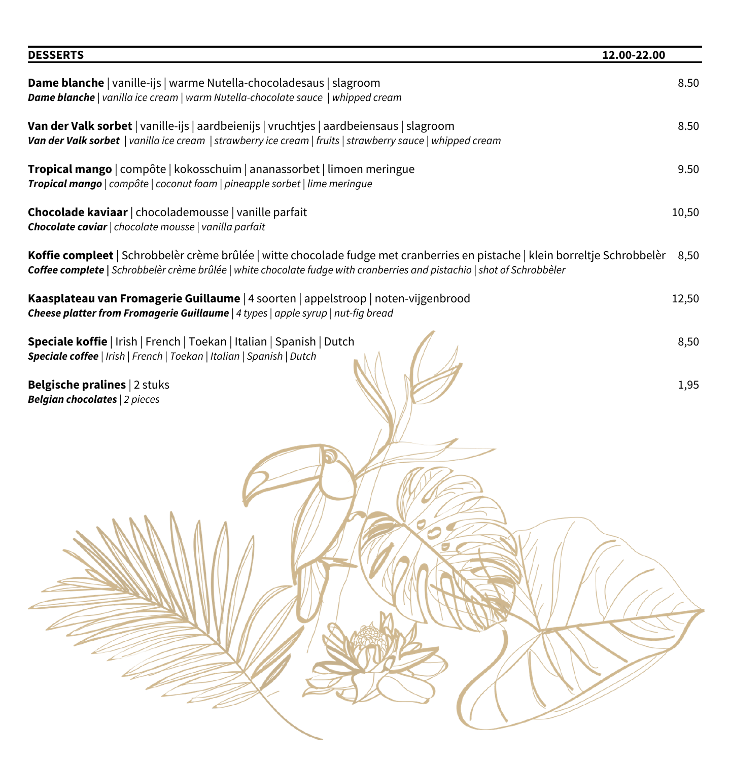| <b>DESSERTS</b>                                                                                                                                                                                                                                       | 12.00-22.00 |
|-------------------------------------------------------------------------------------------------------------------------------------------------------------------------------------------------------------------------------------------------------|-------------|
| Dame blanche   vanille-ijs   warme Nutella-chocoladesaus   slagroom<br>Dame blanche   vanilla ice cream   warm Nutella-chocolate sauce   whipped cream                                                                                                | 8.50        |
| Van der Valk sorbet   vanille-ijs   aardbeienijs   vruchtjes   aardbeiensaus   slagroom<br>Van der Valk sorbet   vanilla ice cream   strawberry ice cream   fruits   strawberry sauce   whipped cream                                                 | 8.50        |
| Tropical mango   compôte   kokosschuim   ananassorbet   limoen meringue<br>Tropical mango   compôte   coconut foam   pineapple sorbet   lime meringue                                                                                                 | 9.50        |
| Chocolade kaviaar   chocolademousse   vanille parfait<br>Chocolate caviar   chocolate mousse   vanilla parfait                                                                                                                                        | 10,50       |
| Koffie compleet Schrobbelèr crème brûlée   witte chocolade fudge met cranberries en pistache   klein borreltje Schrobbelèr<br>Coffee complete   Schrobbelèr crème brûlée   white chocolate fudge with cranberries and pistachio   shot of Schrobbèler | 8,50        |
| Kaasplateau van Fromagerie Guillaume   4 soorten   appelstroop   noten-vijgenbrood<br>Cheese platter from Fromagerie Guillaume   4 types   apple syrup   nut-fig bread                                                                                | 12,50       |
| Speciale koffie   Irish   French   Toekan   Italian   Spanish   Dutch<br>Speciale coffee   Irish   French   Toekan   Italian   Spanish   Dutch                                                                                                        | 8,50        |
| <b>Belgische pralines   2 stuks</b><br><b>Belgian chocolates</b>   2 pieces                                                                                                                                                                           | 1,95        |
|                                                                                                                                                                                                                                                       |             |